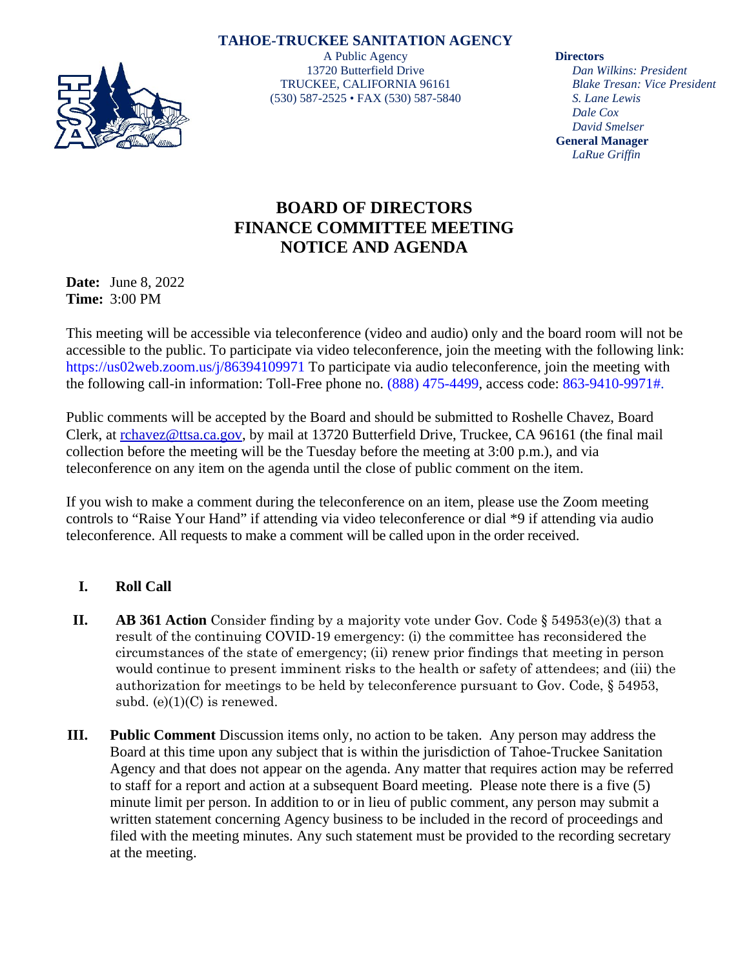## **TAHOE-TRUCKEE SANITATION AGENCY**



A Public Agency 13720 Butterfield Drive TRUCKEE, CALIFORNIA 96161 (530) 587-2525 • FAX (530) 587-5840

**Directors**

*Dan Wilkins: President Blake Tresan: Vice President S. Lane Lewis Dale Cox David Smelser* **General Manager** *LaRue Griffin*

## **BOARD OF DIRECTORS FINANCE COMMITTEE MEETING NOTICE AND AGENDA**

**Date:** June 8, 2022 **Time:** 3:00 PM

This meeting will be accessible via teleconference (video and audio) only and the board room will not be accessible to the public. To participate via video teleconference, join the meeting with the following link: https://us02web.zoom.us/j/86394109971 To participate via audio teleconference, join the meeting with the following call-in information: Toll-Free phone no. (888) 475-4499, access code: 863-9410-9971#.

Public comments will be accepted by the Board and should be submitted to Roshelle Chavez, Board Clerk, at [rchavez@ttsa.ca.gov,](mailto:rchavez@ttsa.ca.gov) by mail at 13720 Butterfield Drive, Truckee, CA 96161 (the final mail collection before the meeting will be the Tuesday before the meeting at 3:00 p.m.), and via teleconference on any item on the agenda until the close of public comment on the item.

If you wish to make a comment during the teleconference on an item, please use the Zoom meeting controls to "Raise Your Hand" if attending via video teleconference or dial \*9 if attending via audio teleconference. All requests to make a comment will be called upon in the order received.

## **I. Roll Call**

- **II. AB 361 Action** Consider finding by a majority vote under Gov. Code § 54953(e)(3) that a result of the continuing COVID-19 emergency: (i) the committee has reconsidered the circumstances of the state of emergency; (ii) renew prior findings that meeting in person would continue to present imminent risks to the health or safety of attendees; and (iii) the authorization for meetings to be held by teleconference pursuant to Gov. Code, § 54953, subd.  $(e)(1)(C)$  is renewed.
- **III. Public Comment** Discussion items only, no action to be taken. Any person may address the Board at this time upon any subject that is within the jurisdiction of Tahoe-Truckee Sanitation Agency and that does not appear on the agenda. Any matter that requires action may be referred to staff for a report and action at a subsequent Board meeting. Please note there is a five (5) minute limit per person. In addition to or in lieu of public comment, any person may submit a written statement concerning Agency business to be included in the record of proceedings and filed with the meeting minutes. Any such statement must be provided to the recording secretary at the meeting.